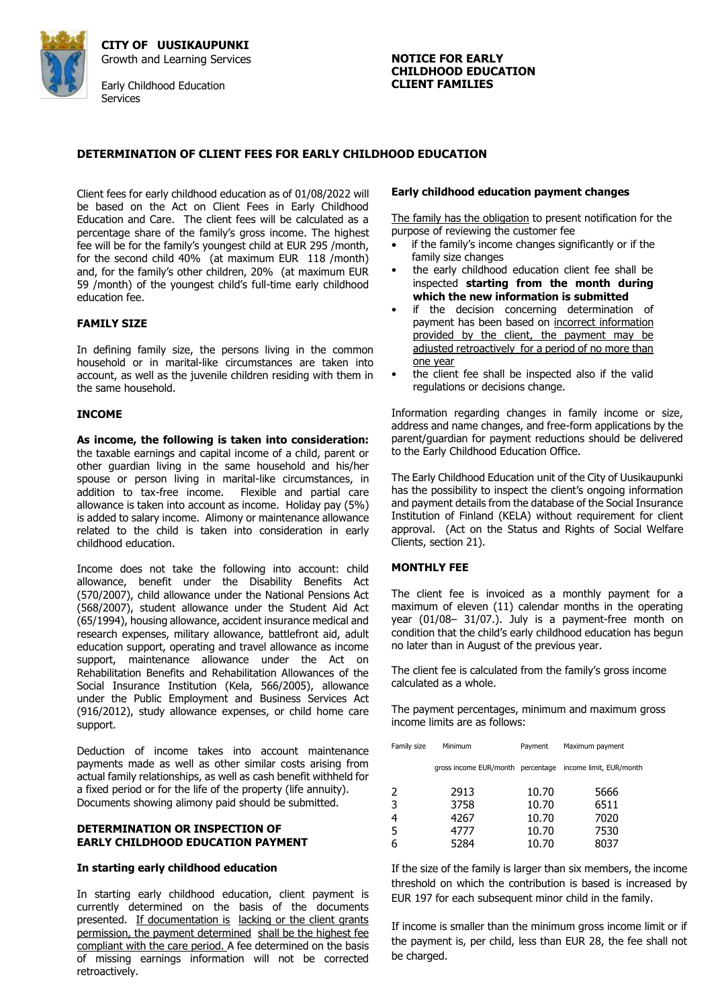

**CITY OF UUSIKAUPUNKI**  Growth and Learning Services Early Childhood Education **Services** 

# **NOTICE FOR EARLY CHILDHOOD EDUCATION CLIENT FAMILIES**

# **DETERMINATION OF CLIENT FEES FOR EARLY CHILDHOOD EDUCATION**

Client fees for early childhood education as of 01/08/2022 will be based on the Act on Client Fees in Early Childhood Education and Care. The client fees will be calculated as a percentage share of the family's gross income. The highest fee will be for the family's youngest child at EUR 295 /month, for the second child 40% (at maximum EUR 118 /month) and, for the family's other children, 20% (at maximum EUR 59 /month) of the youngest child's full-time early childhood education fee.

#### **FAMILY SIZE**

In defining family size, the persons living in the common household or in marital-like circumstances are taken into account, as well as the juvenile children residing with them in the same household.

#### **INCOME**

**As income, the following is taken into consideration:**  the taxable earnings and capital income of a child, parent or other guardian living in the same household and his/her spouse or person living in marital-like circumstances, in addition to tax-free income. Flexible and partial care allowance is taken into account as income. Holiday pay (5%) is added to salary income. Alimony or maintenance allowance related to the child is taken into consideration in early childhood education.

Income does not take the following into account: child allowance, benefit under the Disability Benefits Act (570/2007), child allowance under the National Pensions Act (568/2007), student allowance under the Student Aid Act (65/1994), housing allowance, accident insurance medical and research expenses, military allowance, battlefront aid, adult education support, operating and travel allowance as income support, maintenance allowance under the Act on Rehabilitation Benefits and Rehabilitation Allowances of the Social Insurance Institution (Kela, 566/2005), allowance under the Public Employment and Business Services Act (916/2012), study allowance expenses, or child home care support.

Deduction of income takes into account maintenance payments made as well as other similar costs arising from actual family relationships, as well as cash benefit withheld for a fixed period or for the life of the property (life annuity). Documents showing alimony paid should be submitted.

#### **DETERMINATION OR INSPECTION OF EARLY CHILDHOOD EDUCATION PAYMENT**

#### **In starting early childhood education**

In starting early childhood education, client payment is currently determined on the basis of the documents presented. If documentation is lacking or the client grants permission, the payment determined shall be the highest fee compliant with the care period. A fee determined on the basis of missing earnings information will not be corrected retroactively.

#### **Early childhood education payment changes**

The family has the obligation to present notification for the purpose of reviewing the customer fee

- if the family's income changes significantly or if the family size changes
- the early childhood education client fee shall be inspected **starting from the month during which the new information is submitted**
- if the decision concerning determination of payment has been based on incorrect information provided by the client, the payment may be adjusted retroactively for a period of no more than one year
- the client fee shall be inspected also if the valid regulations or decisions change.

Information regarding changes in family income or size, address and name changes, and free-form applications by the parent/guardian for payment reductions should be delivered to the Early Childhood Education Office.

The Early Childhood Education unit of the City of Uusikaupunki has the possibility to inspect the client's ongoing information and payment details from the database of the Social Insurance Institution of Finland (KELA) without requirement for client approval. (Act on the Status and Rights of Social Welfare Clients, section 21).

# **MONTHLY FEE**

The client fee is invoiced as a monthly payment for a maximum of eleven (11) calendar months in the operating year (01/08– 31/07.). July is a payment-free month on condition that the child's early childhood education has begun no later than in August of the previous year.

The client fee is calculated from the family's gross income calculated as a whole.

The payment percentages, minimum and maximum gross income limits are as follows:

| Family size | Minimum                           | Payment | Maximum payment         |
|-------------|-----------------------------------|---------|-------------------------|
|             | gross income EUR/month percentage |         | income limit, EUR/month |
| 2           | 2913                              | 10.70   | 5666                    |
| 3           | 3758                              | 10.70   | 6511                    |
| 4           | 4267                              | 10.70   | 7020                    |
| 5           | 4777                              | 10.70   | 7530                    |
| 6           | 5284                              | 10.70   | 8037                    |

If the size of the family is larger than six members, the income threshold on which the contribution is based is increased by EUR 197 for each subsequent minor child in the family.

If income is smaller than the minimum gross income limit or if the payment is, per child, less than EUR 28, the fee shall not be charged.